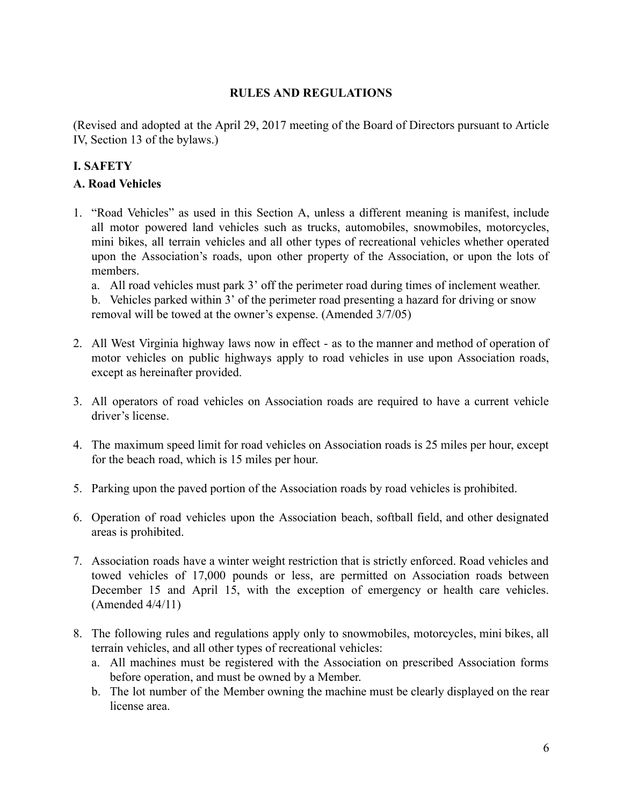## **RULES AND REGULATIONS**

(Revised and adopted at the April 29, 2017 meeting of the Board of Directors pursuant to Article IV, Section 13 of the bylaws.)

## **I. SAFETY**

## **A. Road Vehicles**

1. "Road Vehicles" as used in this Section A, unless a different meaning is manifest, include all motor powered land vehicles such as trucks, automobiles, snowmobiles, motorcycles, mini bikes, all terrain vehicles and all other types of recreational vehicles whether operated upon the Association's roads, upon other property of the Association, or upon the lots of members.

a. All road vehicles must park 3' off the perimeter road during times of inclement weather.

b. Vehicles parked within 3' of the perimeter road presenting a hazard for driving or snow removal will be towed at the owner's expense. (Amended 3/7/05)

- 2. All West Virginia highway laws now in effect as to the manner and method of operation of motor vehicles on public highways apply to road vehicles in use upon Association roads, except as hereinafter provided.
- 3. All operators of road vehicles on Association roads are required to have a current vehicle driver's license.
- 4. The maximum speed limit for road vehicles on Association roads is 25 miles per hour, except for the beach road, which is 15 miles per hour.
- 5. Parking upon the paved portion of the Association roads by road vehicles is prohibited.
- 6. Operation of road vehicles upon the Association beach, softball field, and other designated areas is prohibited.
- 7. Association roads have a winter weight restriction that is strictly enforced. Road vehicles and towed vehicles of 17,000 pounds or less, are permitted on Association roads between December 15 and April 15, with the exception of emergency or health care vehicles. (Amended 4/4/11)
- 8. The following rules and regulations apply only to snowmobiles, motorcycles, mini bikes, all terrain vehicles, and all other types of recreational vehicles:
	- a. All machines must be registered with the Association on prescribed Association forms before operation, and must be owned by a Member.
	- b. The lot number of the Member owning the machine must be clearly displayed on the rear license area.